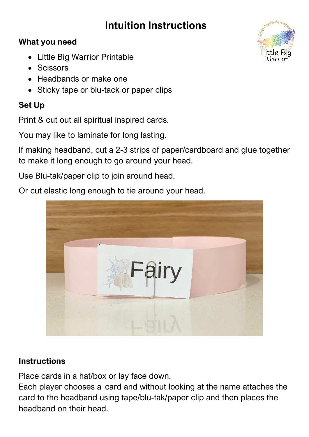## **Intuition Instructions**

## **What you need**

- Little Big Warrior Printable
- Scissors
- Headbands or make one
- Sticky tape or blu-tack or paper clips

## **Set Up**

Print & cut out all spiritual inspired cards.

You may like to laminate for long lasting.

If making headband, cut a 2-3 strips of paper/cardboard and glue together to make it long enough to go around your head.

Use Blu-tak/paper clip to join around head.

Or cut elastic long enough to tie around your head.



## **Instructions**

Place cards in a hat/box or lay face down.

Each player chooses a card and without looking at the name attaches the card to the headband using tape/blu-tak/paper clip and then places the headband on their head.